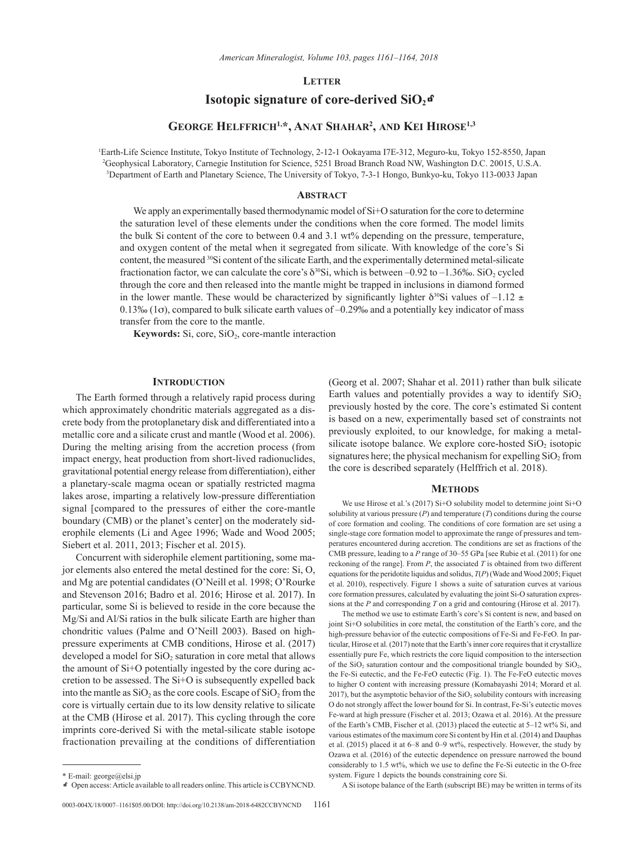## **Letter**

# **Isotopic signature of core-derived**  $SiO<sub>2</sub>$ **<sup>G</sup>**

## **George Helffrich1,\*, Anat Shahar2 , and Kei Hirose1,3**

1 Earth-Life Science Institute, Tokyo Institute of Technology, 2-12-1 Ookayama I7E-312, Meguro-ku, Tokyo 152-8550, Japan 2 Geophysical Laboratory, Carnegie Institution for Science, 5251 Broad Branch Road NW, Washington D.C. 20015, U.S.A. 3 Department of Earth and Planetary Science, The University of Tokyo, 7-3-1 Hongo, Bunkyo-ku, Tokyo 113-0033 Japan

## **Abstract**

We apply an experimentally based thermodynamic model of  $Si+O$  saturation for the core to determine the saturation level of these elements under the conditions when the core formed. The model limits the bulk Si content of the core to between 0.4 and 3.1 wt% depending on the pressure, temperature, and oxygen content of the metal when it segregated from silicate. With knowledge of the core's Si content, the measured 30Si content of the silicate Earth, and the experimentally determined metal-silicate fractionation factor, we can calculate the core's  $\delta^{30}$ Si, which is between –0.92 to –1.36‰. SiO<sub>2</sub> cycled through the core and then released into the mantle might be trapped in inclusions in diamond formed in the lower mantle. These would be characterized by significantly lighter  $\delta^{30}$ Si values of –1.12  $\pm$  $0.13\%$  (1 $\sigma$ ), compared to bulk silicate earth values of  $-0.29\%$  and a potentially key indicator of mass transfer from the core to the mantle.

Keywords: Si, core, SiO<sub>2</sub>, core-mantle interaction

## **Introduction**

The Earth formed through a relatively rapid process during which approximately chondritic materials aggregated as a discrete body from the protoplanetary disk and differentiated into a metallic core and a silicate crust and mantle (Wood et al. 2006). During the melting arising from the accretion process (from impact energy, heat production from short-lived radionuclides, gravitational potential energy release from differentiation), either a planetary-scale magma ocean or spatially restricted magma lakes arose, imparting a relatively low-pressure differentiation signal [compared to the pressures of either the core-mantle boundary (CMB) or the planet's center] on the moderately siderophile elements (Li and Agee 1996; Wade and Wood 2005; Siebert et al. 2011, 2013; Fischer et al. 2015).

Concurrent with siderophile element partitioning, some major elements also entered the metal destined for the core: Si, O, and Mg are potential candidates (O'Neill et al. 1998; O'Rourke and Stevenson 2016; Badro et al. 2016; Hirose et al. 2017). In particular, some Si is believed to reside in the core because the Mg/Si and Al/Si ratios in the bulk silicate Earth are higher than chondritic values (Palme and O'Neill 2003). Based on highpressure experiments at CMB conditions, Hirose et al. (2017) developed a model for SiO<sub>2</sub> saturation in core metal that allows the amount of Si+O potentially ingested by the core during accretion to be assessed. The Si+O is subsequently expelled back into the mantle as  $SiO<sub>2</sub>$  as the core cools. Escape of  $SiO<sub>2</sub>$  from the core is virtually certain due to its low density relative to silicate at the CMB (Hirose et al. 2017). This cycling through the core imprints core-derived Si with the metal-silicate stable isotope fractionation prevailing at the conditions of differentiation (Georg et al. 2007; Shahar et al. 2011) rather than bulk silicate Earth values and potentially provides a way to identify  $SiO<sub>2</sub>$ previously hosted by the core. The core's estimated Si content is based on a new, experimentally based set of constraints not previously exploited, to our knowledge, for making a metalsilicate isotope balance. We explore core-hosted  $SiO<sub>2</sub>$  isotopic signatures here; the physical mechanism for expelling  $SiO<sub>2</sub>$  from the core is described separately (Helffrich et al. 2018).

#### **Methods**

We use Hirose et al.'s (2017) Si+O solubility model to determine joint Si+O solubility at various pressure (*P*) and temperature (*T*) conditions during the course of core formation and cooling. The conditions of core formation are set using a single-stage core formation model to approximate the range of pressures and temperatures encountered during accretion. The conditions are set as fractions of the CMB pressure, leading to a *P* range of 30–55 GPa [see Rubie et al. (2011) for one reckoning of the range]. From *P*, the associated *T* is obtained from two different equations for the peridotite liquidus and solidus, *T*(*P*) (Wade and Wood 2005; Fiquet et al. 2010), respectively. Figure 1 shows a suite of saturation curves at various core formation pressures, calculated by evaluating the joint Si-O saturation expressions at the *P* and corresponding *T* on a grid and contouring (Hirose et al. 2017).

The method we use to estimate Earth's core's Si content is new, and based on joint Si+O solubilities in core metal, the constitution of the Earth's core, and the high-pressure behavior of the eutectic compositions of Fe-Si and Fe-FeO. In particular, Hirose et al. (2017) note that the Earth's inner core requires that it crystallize essentially pure Fe, which restricts the core liquid composition to the intersection of the  $SiO<sub>2</sub>$  saturation contour and the compositional triangle bounded by  $SiO<sub>2</sub>$ , the Fe-Si eutectic, and the Fe-FeO eutectic (Fig. 1). The Fe-FeO eutectic moves to higher O content with increasing pressure (Komabayashi 2014; Morard et al. 2017), but the asymptotic behavior of the  $SiO<sub>2</sub>$  solubility contours with increasing O do not strongly affect the lower bound for Si. In contrast, Fe-Si's eutectic moves Fe-ward at high pressure (Fischer et al. 2013; Ozawa et al. 2016). At the pressure of the Earth's CMB, Fischer et al. (2013) placed the eutectic at 5–12 wt% Si, and various estimates of the maximum core Si content by Hin et al. (2014) and Dauphas et al. (2015) placed it at 6–8 and 0–9 wt%, respectively. However, the study by Ozawa et al. (2016) of the eutectic dependence on pressure narrowed the bound considerably to 1.5 wt%, which we use to define the Fe-Si eutectic in the O-free system. Figure 1 depicts the bounds constraining core Si.

A Si isotope balance of the Earth (subscript BE) may be written in terms of its

<sup>\*</sup> E-mail: [george@elsi.jp](mailto:george@elsi.jp)

kOpen access: Article available to all readers online. This article is CCBYNCND.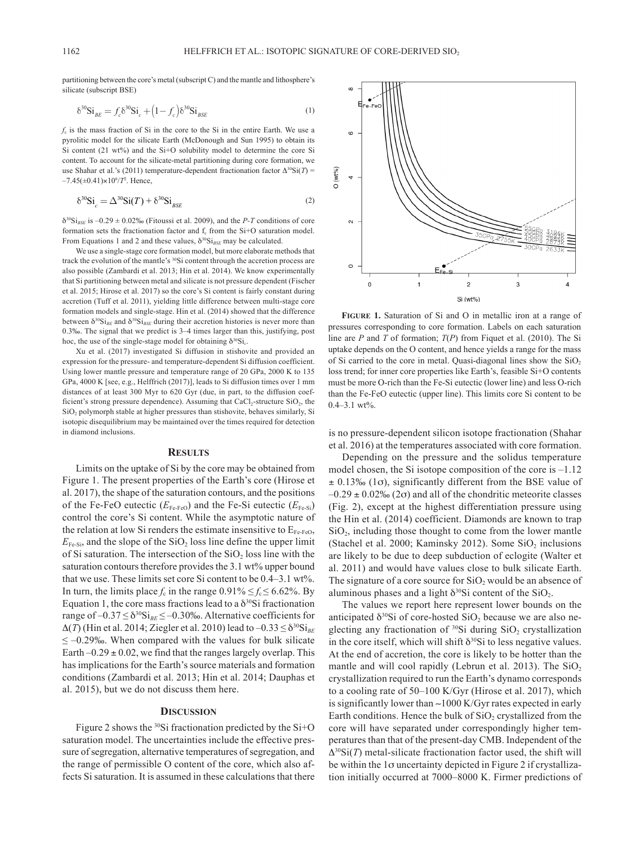partitioning between the core's metal (subscript C) and the mantle and lithosphere's silicate (subscript BSE)

$$
\delta^{30} \text{Si}_{BE} = f_c \delta^{30} \text{Si}_c + \left(1 - f_c\right) \delta^{30} \text{Si}_{BSE} \tag{1}
$$

*f*<sub>c</sub> is the mass fraction of Si in the core to the Si in the entire Earth. We use a pyrolitic model for the silicate Earth (McDonough and Sun 1995) to obtain its Si content (21 wt%) and the Si+O solubility model to determine the core Si content. To account for the silicate-metal partitioning during core formation, we use Shahar et al.'s (2011) temperature-dependent fractionation factor  $\Delta^{30}$ Si(*T*) = –7.45(±0.41)×106 /*T*<sup>2</sup> . Hence,

$$
\delta^{30} \text{Si}_c = \Delta^{30} \text{Si}(T) + \delta^{30} \text{Si}_{BSE} \tag{2}
$$

 $\delta^{30}Si_{RSE}$  is  $-0.29 \pm 0.02\%$  (Fitoussi et al. 2009), and the *P-T* conditions of core formation sets the fractionation factor and f<sub>c</sub> from the Si+O saturation model. From Equations 1 and 2 and these values,  $\delta^{30}Si_{BSE}$  may be calculated.

We use a single-stage core formation model, but more elaborate methods that track the evolution of the mantle's 30Si content through the accretion process are also possible (Zambardi et al. 2013; Hin et al. 2014). We know experimentally that Si partitioning between metal and silicate is not pressure dependent (Fischer et al. 2015; Hirose et al. 2017) so the core's Si content is fairly constant during accretion (Tuff et al. 2011), yielding little difference between multi-stage core formation models and single-stage. Hin et al. (2014) showed that the difference between  $\delta^{30} \text{Si}_{BE}$  and  $\delta^{30} \text{Si}_{BSE}$  during their accretion histories is never more than 0.3‰. The signal that we predict is 3–4 times larger than this, justifying, post hoc, the use of the single-stage model for obtaining  $\delta^{30}Si<sub>c</sub>$ .

Xu et al. (2017) investigated Si diffusion in stishovite and provided an expression for the pressure- and temperature-dependent Si diffusion coefficient. Using lower mantle pressure and temperature range of 20 GPa, 2000 K to 135 GPa, 4000 K [see, e.g., Helffrich (2017)], leads to Si diffusion times over 1 mm distances of at least 300 Myr to 620 Gyr (due, in part, to the diffusion coefficient's strong pressure dependence). Assuming that  $CaCl<sub>2</sub>$ -structure  $SiO<sub>2</sub>$ , the SiO<sub>2</sub> polymorph stable at higher pressures than stishovite, behaves similarly, Si isotopic disequilibrium may be maintained over the times required for detection in diamond inclusions.

#### **Results**

Limits on the uptake of Si by the core may be obtained from Figure 1. The present properties of the Earth's core (Hirose et al. 2017), the shape of the saturation contours, and the positions of the Fe-FeO eutectic  $(E_{\text{Fe-FeO}})$  and the Fe-Si eutectic  $(E_{\text{Fe-Si}})$ control the core's Si content. While the asymptotic nature of the relation at low Si renders the estimate insensitive to  $E_{Fe\text{-FeO}}$ ,  $E_{\text{Fe-Si}}$ , and the slope of the SiO<sub>2</sub> loss line define the upper limit of Si saturation. The intersection of the  $SiO<sub>2</sub>$  loss line with the saturation contours therefore provides the 3.1 wt% upper bound that we use. These limits set core Si content to be 0.4–3.1 wt%. In turn, the limits place  $f_c$  in the range  $0.91\% \le f_c \le 6.62\%$ . By Equation 1, the core mass fractions lead to a  $\delta^{30}$ Si fractionation range of  $-0.37 \le \delta^{30} \text{Si}_{BE} \le -0.30\%$ . Alternative coefficients for  $\Delta(T)$  (Hin et al. 2014; Ziegler et al. 2010) lead to  $-0.33 \leq \delta^{30} \text{Si}_{BE}$  $\leq$  -0.29‰. When compared with the values for bulk silicate Earth –0.29  $\pm$  0.02, we find that the ranges largely overlap. This has implications for the Earth's source materials and formation conditions (Zambardi et al. 2013; Hin et al. 2014; Dauphas et al. 2015), but we do not discuss them here.

## **Discussion**

Figure 2 shows the 30Si fractionation predicted by the Si+O saturation model. The uncertainties include the effective pressure of segregation, alternative temperatures of segregation, and the range of permissible O content of the core, which also affects Si saturation. It is assumed in these calculations that there



**Figure 1.** Saturation of Si and O in metallic iron at a range of pressures corresponding to core formation. Labels on each saturation line are *P* and *T* of formation; *T*(*P*) from Fiquet et al. (2010). The Si uptake depends on the O content, and hence yields a range for the mass of Si carried to the core in metal. Quasi-diagonal lines show the  $SiO<sub>2</sub>$ loss trend; for inner core properties like Earth's, feasible Si+O contents must be more O-rich than the Fe-Si eutectic (lower line) and less O-rich than the Fe-FeO eutectic (upper line). This limits core Si content to be  $0.4-3.1$  wt%.

is no pressure-dependent silicon isotope fractionation (Shahar et al. 2016) at the temperatures associated with core formation.

Depending on the pressure and the solidus temperature model chosen, the Si isotope composition of the core is –1.12  $\pm$  0.13‰ (1 $\sigma$ ), significantly different from the BSE value of  $-0.29 \pm 0.02\%$  (2 $\sigma$ ) and all of the chondritic meteorite classes (Fig. 2), except at the highest differentiation pressure using the Hin et al. (2014) coefficient. Diamonds are known to trap  $SiO<sub>2</sub>$ , including those thought to come from the lower mantle (Stachel et al. 2000; Kaminsky 2012). Some  $SiO<sub>2</sub>$  inclusions are likely to be due to deep subduction of eclogite (Walter et al. 2011) and would have values close to bulk silicate Earth. The signature of a core source for  $SiO<sub>2</sub>$  would be an absence of aluminous phases and a light  $\delta^{30}$ Si content of the SiO<sub>2</sub>.

The values we report here represent lower bounds on the anticipated  $\delta^{30}$ Si of core-hosted SiO<sub>2</sub> because we are also neglecting any fractionation of  $30\$ Si during SiO<sub>2</sub> crystallization in the core itself, which will shift  $\delta^{30}$ Si to less negative values. At the end of accretion, the core is likely to be hotter than the mantle and will cool rapidly (Lebrun et al. 2013). The  $SiO<sub>2</sub>$ crystallization required to run the Earth's dynamo corresponds to a cooling rate of 50–100 K/Gyr (Hirose et al. 2017), which is significantly lower than ~1000 K/Gyr rates expected in early Earth conditions. Hence the bulk of  $SiO<sub>2</sub>$  crystallized from the core will have separated under correspondingly higher temperatures than that of the present-day CMB. Independent of the  $\Delta^{30}$ Si(*T*) metal-silicate fractionation factor used, the shift will be within the  $1\sigma$  uncertainty depicted in Figure 2 if crystallization initially occurred at 7000–8000 K. Firmer predictions of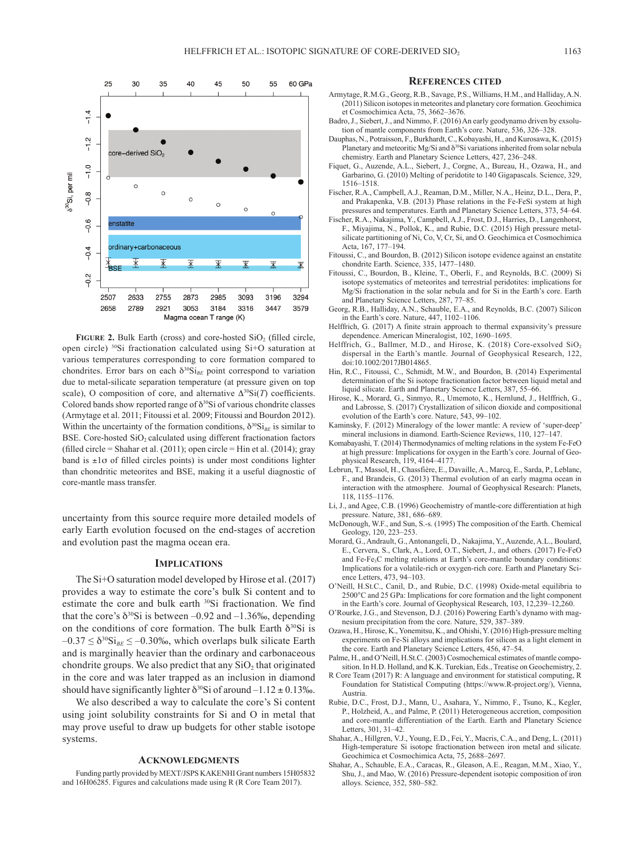

FIGURE 2. Bulk Earth (cross) and core-hosted SiO<sub>2</sub> (filled circle, open circle) 30Si fractionation calculated using Si+O saturation at various temperatures corresponding to core formation compared to chondrites. Error bars on each  $\delta^{30}\text{Si}_{BE}$  point correspond to variation due to metal-silicate separation temperature (at pressure given on top scale), O composition of core, and alternative  $\Delta^{30}Si(T)$  coefficients. Colored bands show reported range of  $\delta^{30}$ Si of various chondrite classes (Armytage et al. 2011; Fitoussi et al. 2009; Fitoussi and Bourdon 2012). Within the uncertainty of the formation conditions,  $\delta^{30}Si_{BE}$  is similar to BSE. Core-hosted  $SiO<sub>2</sub>$  calculated using different fractionation factors (filled circle = Shahar et al. (2011); open circle = Hin et al. (2014); gray band is  $\pm 1\sigma$  of filled circles points) is under most conditions lighter than chondritic meteorites and BSE, making it a useful diagnostic of core-mantle mass transfer.

uncertainty from this source require more detailed models of early Earth evolution focused on the end-stages of accretion and evolution past the magma ocean era.

## **Implications**

The Si+O saturation model developed by Hirose et al. (2017) provides a way to estimate the core's bulk Si content and to estimate the core and bulk earth 30Si fractionation. We find that the core's  $\delta^{30}$ Si is between –0.92 and –1.36‰, depending on the conditions of core formation. The bulk Earth  $\delta^{30}$ Si is  $-0.37 \leq \delta^{30} \text{Si}_{BE} \leq -0.30\%$ , which overlaps bulk silicate Earth and is marginally heavier than the ordinary and carbonaceous chondrite groups. We also predict that any  $SiO<sub>2</sub>$  that originated in the core and was later trapped as an inclusion in diamond should have significantly lighter  $\delta^{30}$ Si of around –1.12  $\pm$  0.13‰.

We also described a way to calculate the core's Si content using joint solubility constraints for Si and O in metal that may prove useful to draw up budgets for other stable isotope systems.

#### **Acknowledgments**

Funding partly provided by MEXT/JSPS KAKENHI Grant numbers 15H05832 and 16H06285. Figures and calculations made using R (R Core Team 2017).

#### **References cited**

- Armytage, R.M.G., Georg, R.B., Savage, P.S., Williams, H.M., and Halliday, A.N. (2011) Silicon isotopes in meteorites and planetary core formation. Geochimica et Cosmochimica Acta, 75, 3662–3676.
- Badro, J., Siebert, J., and Nimmo, F. (2016) An early geodynamo driven by exsolution of mantle components from Earth's core. Nature, 536, 326–328.
- Dauphas, N., Potraisson, F., Burkhardt, C., Kobayashi, H., and Kurosawa, K. (2015) Planetary and meteoritic Mg/Si and  $\delta^{30}$ Si variations inherited from solar nebula chemistry. Earth and Planetary Science Letters, 427, 236–248.
- Fiquet, G., Auzende, A.L., Siebert, J., Corgne, A., Bureau, H., Ozawa, H., and Garbarino, G. (2010) Melting of peridotite to 140 Gigapascals. Science, 329, 1516–1518.
- Fischer, R.A., Campbell, A.J., Reaman, D.M., Miller, N.A., Heinz, D.L., Dera, P., and Prakapenka, V.B. (2013) Phase relations in the Fe-FeSi system at high pressures and temperatures. Earth and Planetary Science Letters, 373, 54–64.
- Fischer, R.A., Nakajima, Y., Campbell, A.J., Frost, D.J., Harries, D., Langenhorst, F., Miyajima, N., Pollok, K., and Rubie, D.C. (2015) High pressure metalsilicate partitioning of Ni, Co, V, Cr, Si, and O. Geochimica et Cosmochimica Acta, 167, 177–194.
- Fitoussi, C., and Bourdon, B. (2012) Silicon isotope evidence against an enstatite chondrite Earth. Science, 335, 1477–1480.
- Fitoussi, C., Bourdon, B., Kleine, T., Oberli, F., and Reynolds, B.C. (2009) Si isotope systematics of meteorites and terrestrial peridotites: implications for Mg/Si fractionation in the solar nebula and for Si in the Earth's core. Earth and Planetary Science Letters, 287, 77–85.
- Georg, R.B., Halliday, A.N., Schauble, E.A., and Reynolds, B.C. (2007) Silicon in the Earth's core. Nature, 447, 1102–1106.
- Helffrich, G. (2017) A finite strain approach to thermal expansivity's pressure dependence. American Mineralogist, 102, 1690–1695.
- Helffrich, G., Ballmer, M.D., and Hirose, K. (2018) Core-exsolved SiO<sub>2</sub> dispersal in the Earth's mantle. Journal of Geophysical Research, 122, doi:10.1002/2017JB014865.
- Hin, R.C., Fitoussi, C., Schmidt, M.W., and Bourdon, B. (2014) Experimental determination of the Si isotope fractionation factor between liquid metal and liquid silicate. Earth and Planetary Science Letters, 387, 55–66.
- Hirose, K., Morard, G., Sinmyo, R., Umemoto, K., Hernlund, J., Helffrich, G., and Labrosse, S. (2017) Crystallization of silicon dioxide and compositional evolution of the Earth's core. Nature, 543, 99–102.
- Kaminsky, F. (2012) Mineralogy of the lower mantle: A review of 'super-deep' mineral inclusions in diamond. Earth-Science Reviews, 110, 127–147.
- Komabayashi, T. (2014) Thermodynamics of melting relations in the system Fe-FeO at high pressure: Implications for oxygen in the Earth's core. Journal of Geophysical Research, 119, 4164–4177.
- Lebrun, T., Massol, H., Chassfière, E., Davaille, A., Marcq, E., Sarda, P., Leblanc, F., and Brandeis, G. (2013) Thermal evolution of an early magma ocean in interaction with the atmosphere. Journal of Geophysical Research: Planets, 118, 1155–1176.
- Li, J., and Agee, C.B. (1996) Geochemistry of mantle-core differentiation at high pressure. Nature, 381, 686–689.
- McDonough, W.F., and Sun, S.-s. (1995) The composition of the Earth. Chemical Geology, 120, 223–253.
- Morard, G., Andrault, G., Antonangeli, D., Nakajima, Y., Auzende, A.L., Boulard, E., Cervera, S., Clark, A., Lord, O.T., Siebert, J., and others. (2017) Fe-FeO and Fe-Fe3C melting relations at Earth's core-mantle boundary conditions: Implications for a volatile-rich or oxygen-rich core. Earth and Planetary Science Letters, 473, 94–103.
- O'Neill, H.St.C., Canil, D., and Rubie, D.C. (1998) Oxide-metal equilibria to 2500°C and 25 GPa: Implications for core formation and the light component in the Earth's core. Journal of Geophysical Research, 103, 12,239–12,260.
- O'Rourke, J.G., and Stevenson, D.J. (2016) Powering Earth's dynamo with magnesium precipitation from the core. Nature, 529, 387–389.
- Ozawa, H., Hirose, K., Yonemitsu, K., and Ohishi, Y. (2016) High-pressure melting experiments on Fe-Si alloys and implications for silicon as a light element in the core. Earth and Planetary Science Letters, 456, 47–54.
- Palme, H., and O'Neill, H.St.C. (2003) Cosmochemical estimates of mantle composition. In H.D. Holland, and K.K. Turekian, Eds., Treatise on Geochemistry, 2.
- R Core Team (2017) R: A language and environment for statistical computing, R Foundation for Statistical Computing (https://www.R-project.org/), Vienna, Austria.
- Rubie, D.C., Frost, D.J., Mann, U., Asahara, Y., Nimmo, F., Tsuno, K., Kegler, P., Holzheid, A., and Palme, P. (2011) Heterogeneous accretion, composition and core-mantle differentiation of the Earth. Earth and Planetary Science Letters, 301, 31–42.
- Shahar, A., Hillgren, V.J., Young, E.D., Fei, Y., Macris, C.A., and Deng, L. (2011) High-temperature Si isotope fractionation between iron metal and silicate. Geochimica et Cosmochimica Acta, 75, 2688–2697.
- Shahar, A., Schauble, E.A., Caracas, R., Gleason, A.E., Reagan, M.M., Xiao, Y., Shu, J., and Mao, W. (2016) Pressure-dependent isotopic composition of iron alloys. Science, 352, 580–582.